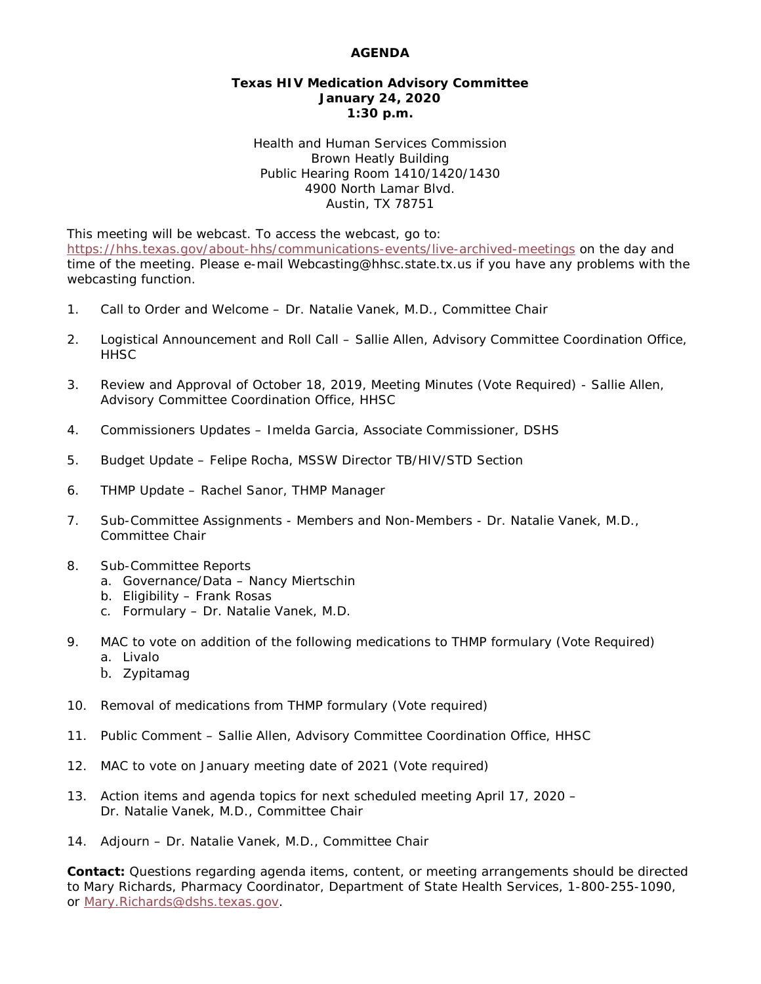## **AGENDA**

## **Texas HIV Medication Advisory Committee January 24, 2020 1:30 p.m.**

Health and Human Services Commission Brown Heatly Building Public Hearing Room 1410/1420/1430 4900 North Lamar Blvd. Austin, TX 78751

This meeting will be webcast. To access the webcast, go to: <https://hhs.texas.gov/about-hhs/communications-events/live-archived-meetings> on the day and time of the meeting. Please e-mail Webcasting@hhsc.state.tx.us if you have any problems with the webcasting function.

- 1. Call to Order and Welcome Dr. Natalie Vanek, M.D., Committee Chair
- 2. Logistical Announcement and Roll Call Sallie Allen, Advisory Committee Coordination Office, **HHSC**
- 3. Review and Approval of October 18, 2019, Meeting Minutes (Vote Required) Sallie Allen, Advisory Committee Coordination Office, HHSC
- 4. Commissioners Updates Imelda Garcia, Associate Commissioner, DSHS
- 5. Budget Update Felipe Rocha, MSSW Director TB/HIV/STD Section
- 6. THMP Update Rachel Sanor, THMP Manager
- 7. Sub-Committee Assignments Members and Non-Members Dr. Natalie Vanek, M.D., Committee Chair
- 8. Sub-Committee Reports
	- a. Governance/Data Nancy Miertschin
	- b. Eligibility Frank Rosas
	- c. Formulary Dr. Natalie Vanek, M.D.
- 9. MAC to vote on addition of the following medications to THMP formulary (Vote Required) a. Livalo
	- b. Zypitamag
- 10. Removal of medications from THMP formulary (Vote required)
- 11. Public Comment Sallie Allen, Advisory Committee Coordination Office, HHSC
- 12. MAC to vote on January meeting date of 2021 (Vote required)
- 13. Action items and agenda topics for next scheduled meeting April 17, 2020 Dr. Natalie Vanek, M.D., Committee Chair
- 14. Adjourn Dr. Natalie Vanek, M.D., Committee Chair

**Contact:** Questions regarding agenda items, content, or meeting arrangements should be directed to Mary Richards, Pharmacy Coordinator, Department of State Health Services, 1-800-255-1090, or [Mary.Richards@dshs.texas.gov.](mailto:Mary.Richards@dshs.texas.gov)